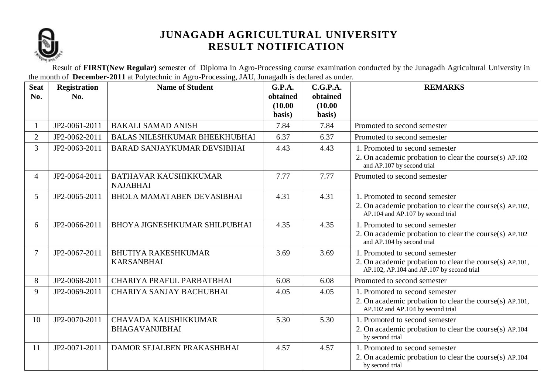

Result of **FIRST(New Regular)** semester of Diploma in Agro-Processing course examination conducted by the Junagadh Agricultural University in the month of **December-2011** at Polytechnic in Agro-Processing, JAU, Junagadh is declared as under.

| <b>Seat</b><br>No. | <b>Registration</b><br>No. | <b>Name of Student</b>                          | <b>G.P.A.</b><br>obtained<br>(10.00)<br>basis) | C.G.P.A.<br>obtained<br>(10.00)<br>basis) | <b>REMARKS</b>                                                                                                                         |
|--------------------|----------------------------|-------------------------------------------------|------------------------------------------------|-------------------------------------------|----------------------------------------------------------------------------------------------------------------------------------------|
| 1                  | JP2-0061-2011              | <b>BAKALI SAMAD ANISH</b>                       | 7.84                                           | 7.84                                      | Promoted to second semester                                                                                                            |
| $\overline{2}$     | JP2-0062-2011              | <b>BALAS NILESHKUMAR BHEEKHUBHAI</b>            | 6.37                                           | 6.37                                      | Promoted to second semester                                                                                                            |
| 3                  | JP2-0063-2011              | <b>BARAD SANJAYKUMAR DEVSIBHAI</b>              | 4.43                                           | 4.43                                      | 1. Promoted to second semester<br>2. On academic probation to clear the course(s) AP.102<br>and AP.107 by second trial                 |
| $\overline{4}$     | JP2-0064-2011              | <b>BATHAVAR KAUSHIKKUMAR</b><br><b>NAJABHAI</b> | 7.77                                           | 7.77                                      | Promoted to second semester                                                                                                            |
| 5                  | JP2-0065-2011              | <b>BHOLA MAMATABEN DEVASIBHAI</b>               | 4.31                                           | 4.31                                      | 1. Promoted to second semester<br>2. On academic probation to clear the course(s) AP.102,<br>AP.104 and AP.107 by second trial         |
| 6                  | JP2-0066-2011              | BHOYA JIGNESHKUMAR SHILPUBHAI                   | 4.35                                           | 4.35                                      | 1. Promoted to second semester<br>2. On academic probation to clear the course(s) AP.102<br>and AP.104 by second trial                 |
| $\overline{7}$     | JP2-0067-2011              | <b>BHUTIYA RAKESHKUMAR</b><br><b>KARSANBHAI</b> | 3.69                                           | 3.69                                      | 1. Promoted to second semester<br>2. On academic probation to clear the course(s) AP.101,<br>AP.102, AP.104 and AP.107 by second trial |
| 8                  | JP2-0068-2011              | CHARIYA PRAFUL PARBATBHAI                       | 6.08                                           | 6.08                                      | Promoted to second semester                                                                                                            |
| 9                  | JP2-0069-2011              | CHARIYA SANJAY BACHUBHAI                        | 4.05                                           | 4.05                                      | 1. Promoted to second semester                                                                                                         |
|                    |                            |                                                 |                                                |                                           | 2. On academic probation to clear the course(s) AP.101,<br>AP.102 and AP.104 by second trial                                           |
| 10                 | JP2-0070-2011              | CHAVADA KAUSHIKKUMAR                            | 5.30                                           | 5.30                                      | 1. Promoted to second semester                                                                                                         |
|                    |                            | <b>BHAGAVANJIBHAI</b>                           |                                                |                                           | 2. On academic probation to clear the course(s) AP.104<br>by second trial                                                              |
| 11                 | JP2-0071-2011              | DAMOR SEJALBEN PRAKASHBHAI                      | 4.57                                           | 4.57                                      | 1. Promoted to second semester<br>2. On academic probation to clear the course(s) AP.104<br>by second trial                            |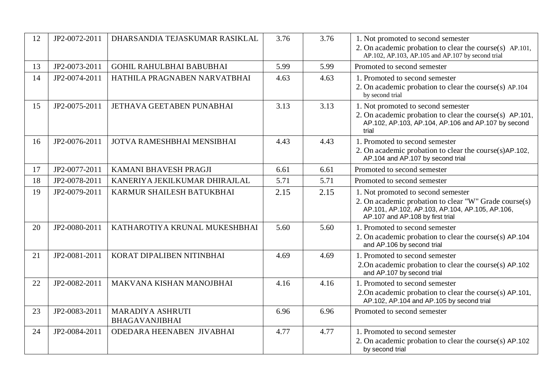| 12 | JP2-0072-2011 | DHARSANDIA TEJASKUMAR RASIKLAL            | 3.76 | 3.76 | 1. Not promoted to second semester<br>2. On academic probation to clear the course(s) AP.101,<br>AP.102, AP.103, AP.105 and AP.107 by second trial                                 |
|----|---------------|-------------------------------------------|------|------|------------------------------------------------------------------------------------------------------------------------------------------------------------------------------------|
| 13 | JP2-0073-2011 | <b>GOHIL RAHULBHAI BABUBHAI</b>           | 5.99 | 5.99 | Promoted to second semester                                                                                                                                                        |
| 14 | JP2-0074-2011 | HATHILA PRAGNABEN NARVATBHAI              | 4.63 | 4.63 | 1. Promoted to second semester<br>2. On academic probation to clear the course(s) AP.104<br>by second trial                                                                        |
| 15 | JP2-0075-2011 | JETHAVA GEETABEN PUNABHAI                 | 3.13 | 3.13 | 1. Not promoted to second semester<br>2. On academic probation to clear the course(s) AP.101,<br>AP.102, AP.103, AP.104, AP.106 and AP.107 by second<br>trial                      |
| 16 | JP2-0076-2011 | JOTVA RAMESHBHAI MENSIBHAI                | 4.43 | 4.43 | 1. Promoted to second semester<br>2. On academic probation to clear the course(s)AP.102,<br>AP.104 and AP.107 by second trial                                                      |
| 17 | JP2-0077-2011 | KAMANI BHAVESH PRAGJI                     | 6.61 | 6.61 | Promoted to second semester                                                                                                                                                        |
| 18 | JP2-0078-2011 | KANERIYA JEKILKUMAR DHIRAJLAL             | 5.71 | 5.71 | Promoted to second semester                                                                                                                                                        |
| 19 | JP2-0079-2011 | KARMUR SHAILESH BATUKBHAI                 | 2.15 | 2.15 | 1. Not promoted to second semester<br>2. On academic probation to clear "W" Grade course(s)<br>AP.101, AP.102, AP.103, AP.104, AP.105, AP.106,<br>AP.107 and AP.108 by first trial |
| 20 | JP2-0080-2011 | KATHAROTIYA KRUNAL MUKESHBHAI             | 5.60 | 5.60 | 1. Promoted to second semester<br>2. On academic probation to clear the course(s) AP.104<br>and AP.106 by second trial                                                             |
| 21 | JP2-0081-2011 | KORAT DIPALIBEN NITINBHAI                 | 4.69 | 4.69 | 1. Promoted to second semester<br>2. On academic probation to clear the course(s) AP.102<br>and AP.107 by second trial                                                             |
| 22 | JP2-0082-2011 | MAKVANA KISHAN MANOJBHAI                  | 4.16 | 4.16 | 1. Promoted to second semester<br>2. On academic probation to clear the course(s) AP.101,<br>AP.102, AP.104 and AP.105 by second trial                                             |
| 23 | JP2-0083-2011 | MARADIYA ASHRUTI<br><b>BHAGAVANJIBHAI</b> | 6.96 | 6.96 | Promoted to second semester                                                                                                                                                        |
| 24 | JP2-0084-2011 | ODEDARA HEENABEN JIVABHAI                 | 4.77 | 4.77 | 1. Promoted to second semester<br>2. On academic probation to clear the course(s) AP.102<br>by second trial                                                                        |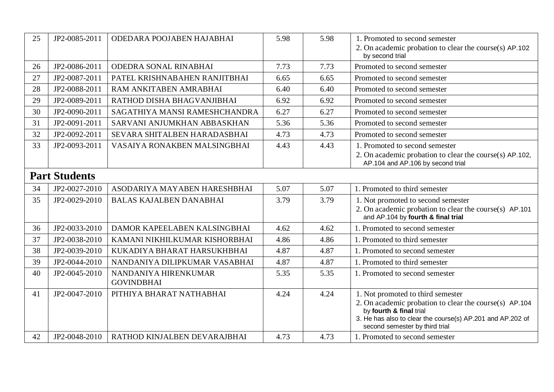| 25 | JP2-0085-2011        | ODEDARA POOJABEN HAJABHAI                 | 5.98 | 5.98 | 1. Promoted to second semester<br>2. On academic probation to clear the course(s) AP.102     |
|----|----------------------|-------------------------------------------|------|------|----------------------------------------------------------------------------------------------|
|    |                      |                                           |      |      | by second trial                                                                              |
| 26 | JP2-0086-2011        | ODEDRA SONAL RINABHAI                     | 7.73 | 7.73 | Promoted to second semester                                                                  |
| 27 | JP2-0087-2011        | PATEL KRISHNABAHEN RANJITBHAI             | 6.65 | 6.65 | Promoted to second semester                                                                  |
| 28 | JP2-0088-2011        | RAM ANKITABEN AMRABHAI                    | 6.40 | 6.40 | Promoted to second semester                                                                  |
| 29 | JP2-0089-2011        | RATHOD DISHA BHAGVANJIBHAI                | 6.92 | 6.92 | Promoted to second semester                                                                  |
| 30 | JP2-0090-2011        | SAGATHIYA MANSI RAMESHCHANDRA             | 6.27 | 6.27 | Promoted to second semester                                                                  |
| 31 | JP2-0091-2011        | SARVANI ANJUMKHAN ABBASKHAN               | 5.36 | 5.36 | Promoted to second semester                                                                  |
| 32 | JP2-0092-2011        | SEVARA SHITALBEN HARADASBHAI              | 4.73 | 4.73 | Promoted to second semester                                                                  |
| 33 | JP2-0093-2011        | VASAIYA RONAKBEN MALSINGBHAI              | 4.43 | 4.43 | 1. Promoted to second semester                                                               |
|    |                      |                                           |      |      | 2. On academic probation to clear the course(s) AP.102,<br>AP.104 and AP.106 by second trial |
|    | <b>Part Students</b> |                                           |      |      |                                                                                              |
| 34 | JP2-0027-2010        | ASODARIYA MAYABEN HARESHBHAI              | 5.07 | 5.07 | 1. Promoted to third semester                                                                |
| 35 | JP2-0029-2010        | <b>BALAS KAJALBEN DANABHAI</b>            | 3.79 | 3.79 | 1. Not promoted to second semester                                                           |
|    |                      |                                           |      |      | 2. On academic probation to clear the course(s) AP.101<br>and AP.104 by fourth & final trial |
| 36 | JP2-0033-2010        | DAMOR KAPEELABEN KALSINGBHAI              | 4.62 | 4.62 | 1. Promoted to second semester                                                               |
| 37 | JP2-0038-2010        | KAMANI NIKHILKUMAR KISHORBHAI             | 4.86 | 4.86 | 1. Promoted to third semester                                                                |
| 38 | JP2-0039-2010        | KUKADIYA BHARAT HARSUKHBHAI               | 4.87 | 4.87 | 1. Promoted to second semester                                                               |
| 39 | JP2-0044-2010        | NANDANIYA DILIPKUMAR VASABHAI             | 4.87 | 4.87 | 1. Promoted to third semester                                                                |
| 40 | JP2-0045-2010        | NANDANIYA HIRENKUMAR<br><b>GOVINDBHAI</b> | 5.35 | 5.35 | 1. Promoted to second semester                                                               |
| 41 | JP2-0047-2010        | PITHIYA BHARAT NATHABHAI                  | 4.24 | 4.24 | 1. Not promoted to third semester                                                            |
|    |                      |                                           |      |      | 2. On academic probation to clear the course(s) AP.104<br>by fourth & final trial            |
|    |                      |                                           |      |      | 3. He has also to clear the course(s) AP.201 and AP.202 of<br>second semester by third trial |
| 42 | JP2-0048-2010        | RATHOD KINJALBEN DEVARAJBHAI              | 4.73 | 4.73 | 1. Promoted to second semester                                                               |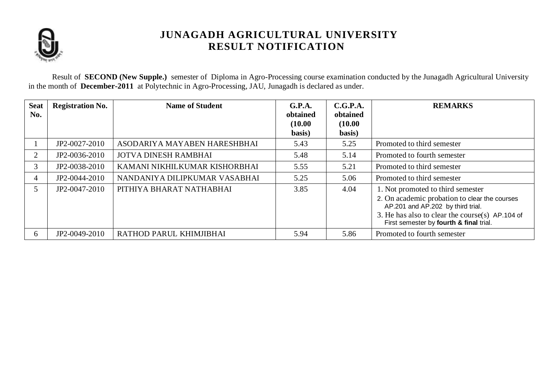

Result of **SECOND (New Supple.)** semester of Diploma in Agro-Processing course examination conducted by the Junagadh Agricultural University in the month of **December-2011** at Polytechnic in Agro-Processing, JAU, Junagadh is declared as under.

| <b>Seat</b><br>No. | <b>Registration No.</b> | <b>Name of Student</b>        | G.P.A.<br>obtained<br>(10.00)<br>basis) | C.G.P.A.<br>obtained<br>(10.00)<br>basis) | <b>REMARKS</b>                                                                                                                                                                                                        |
|--------------------|-------------------------|-------------------------------|-----------------------------------------|-------------------------------------------|-----------------------------------------------------------------------------------------------------------------------------------------------------------------------------------------------------------------------|
|                    | JP2-0027-2010           | ASODARIYA MAYABEN HARESHBHAI  | 5.43                                    | 5.25                                      | Promoted to third semester                                                                                                                                                                                            |
| 2                  | JP2-0036-2010           | <b>JOTVA DINESH RAMBHAI</b>   | 5.48                                    | 5.14                                      | Promoted to fourth semester                                                                                                                                                                                           |
| 3                  | JP2-0038-2010           | KAMANI NIKHILKUMAR KISHORBHAI | 5.55                                    | 5.21                                      | Promoted to third semester                                                                                                                                                                                            |
| 4                  | JP2-0044-2010           | NANDANIYA DILIPKUMAR VASABHAI | 5.25                                    | 5.06                                      | Promoted to third semester                                                                                                                                                                                            |
| 5                  | JP2-0047-2010           | PITHIYA BHARAT NATHABHAI      | 3.85                                    | 4.04                                      | 1. Not promoted to third semester<br>2. On academic probation to clear the courses<br>AP.201 and AP.202 by third trial.<br>3. He has also to clear the course(s) AP.104 of<br>First semester by fourth & final trial. |
| 6                  | JP2-0049-2010           | RATHOD PARUL KHIMJIBHAI       | 5.94                                    | 5.86                                      | Promoted to fourth semester                                                                                                                                                                                           |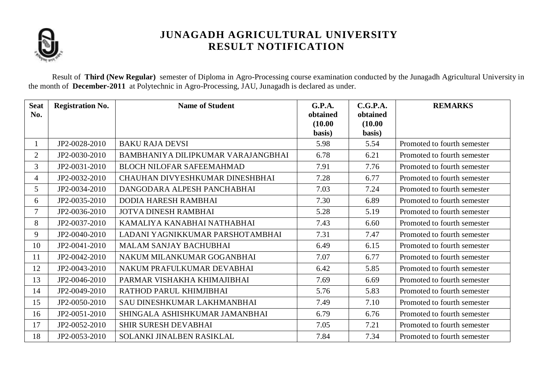

Result of **Third (New Regular)** semester of Diploma in Agro-Processing course examination conducted by the Junagadh Agricultural University in the month of **December-2011** at Polytechnic in Agro-Processing, JAU, Junagadh is declared as under.

| <b>Seat</b><br>No. | <b>Registration No.</b> | <b>Name of Student</b>             | <b>G.P.A.</b><br>obtained | C.G.P.A.<br>obtained | <b>REMARKS</b>              |
|--------------------|-------------------------|------------------------------------|---------------------------|----------------------|-----------------------------|
|                    |                         |                                    | (10.00)                   | (10.00)              |                             |
|                    |                         |                                    | basis)                    | basis)               |                             |
|                    | JP2-0028-2010           | <b>BAKU RAJA DEVSI</b>             | 5.98                      | 5.54                 | Promoted to fourth semester |
| $\overline{2}$     | JP2-0030-2010           | BAMBHANIYA DILIPKUMAR VARAJANGBHAI | 6.78                      | 6.21                 | Promoted to fourth semester |
| $\overline{3}$     | JP2-0031-2010           | <b>BLOCH NILOFAR SAFEEMAHMAD</b>   | 7.91                      | 7.76                 | Promoted to fourth semester |
| 4                  | JP2-0032-2010           | CHAUHAN DIVYESHKUMAR DINESHBHAI    | 7.28                      | 6.77                 | Promoted to fourth semester |
| 5                  | JP2-0034-2010           | DANGODARA ALPESH PANCHABHAI        | 7.03                      | 7.24                 | Promoted to fourth semester |
| 6                  | JP2-0035-2010           | DODIA HARESH RAMBHAI               | 7.30                      | 6.89                 | Promoted to fourth semester |
| $\tau$             | JP2-0036-2010           | <b>JOTVA DINESH RAMBHAI</b>        | 5.28                      | 5.19                 | Promoted to fourth semester |
| 8                  | JP2-0037-2010           | KAMALIYA KANABHAI NATHABHAI        | 7.43                      | 6.60                 | Promoted to fourth semester |
| 9                  | JP2-0040-2010           | LADANI YAGNIKKUMAR PARSHOTAMBHAI   | 7.31                      | 7.47                 | Promoted to fourth semester |
| 10                 | JP2-0041-2010           | <b>MALAM SANJAY BACHUBHAI</b>      | 6.49                      | 6.15                 | Promoted to fourth semester |
| 11                 | JP2-0042-2010           | NAKUM MILANKUMAR GOGANBHAI         | 7.07                      | 6.77                 | Promoted to fourth semester |
| 12                 | JP2-0043-2010           | NAKUM PRAFULKUMAR DEVABHAI         | 6.42                      | 5.85                 | Promoted to fourth semester |
| 13                 | JP2-0046-2010           | PARMAR VISHAKHA KHIMAJIBHAI        | 7.69                      | 6.69                 | Promoted to fourth semester |
| 14                 | JP2-0049-2010           | RATHOD PARUL KHIMJIBHAI            | 5.76                      | 5.83                 | Promoted to fourth semester |
| 15                 | JP2-0050-2010           | SAU DINESHKUMAR LAKHMANBHAI        | 7.49                      | 7.10                 | Promoted to fourth semester |
| 16                 | JP2-0051-2010           | SHINGALA ASHISHKUMAR JAMANBHAI     | 6.79                      | 6.76                 | Promoted to fourth semester |
| 17                 | JP2-0052-2010           | SHIR SURESH DEVABHAI               | 7.05                      | 7.21                 | Promoted to fourth semester |
| 18                 | JP2-0053-2010           | SOLANKI JINALBEN RASIKLAL          | 7.84                      | 7.34                 | Promoted to fourth semester |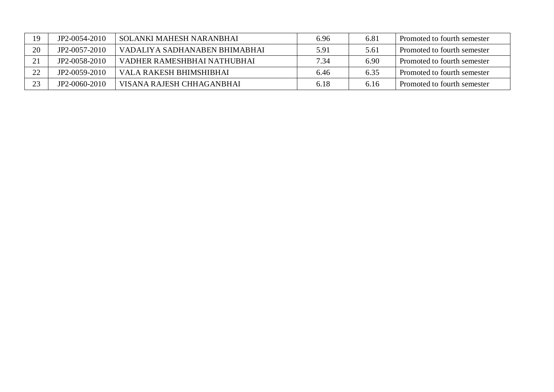| 9  | JP2-0054-2010 | <b>SOLANKI MAHESH NARANBHAI</b> | 6.96 | 6.81 | Promoted to fourth semester |
|----|---------------|---------------------------------|------|------|-----------------------------|
| 20 | JP2-0057-2010 | VADALIYA SADHANABEN BHIMABHAI   | 5.91 | 5.61 | Promoted to fourth semester |
|    | JP2-0058-2010 | VADHER RAMESHBHAI NATHUBHAI     | 7.34 | 6.90 | Promoted to fourth semester |
| つつ | JP2-0059-2010 | VALA RAKESH BHIMSHIBHAI         | 6.46 | 6.35 | Promoted to fourth semester |
| 23 | JP2-0060-2010 | VISANA RAJESH CHHAGANBHAI       | 6.18 | 6.16 | Promoted to fourth semester |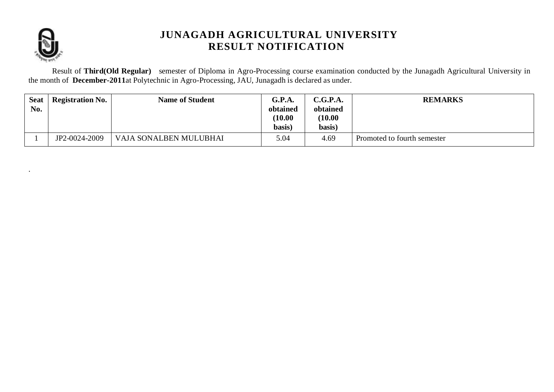

.

## **JUNAGADH AGRICULTURAL UNIVERSITY RESULT NOTIFICATION**

Result of **Third(Old Regular)** semester of Diploma in Agro-Processing course examination conducted by the Junagadh Agricultural University in the month of **December-2011**at Polytechnic in Agro-Processing, JAU, Junagadh is declared as under.

| <b>Seat</b><br>No. | <b>Registration No.</b> | <b>Name of Student</b> | G.P.A.<br>obtained<br>(10.00)<br>basis) | C.G.P.A.<br>obtained<br>(10.00)<br>basis) | <b>REMARKS</b>              |
|--------------------|-------------------------|------------------------|-----------------------------------------|-------------------------------------------|-----------------------------|
|                    | JP2-0024-2009           | VAJA SONALBEN MULUBHAI | 5.04                                    | 4.69                                      | Promoted to fourth semester |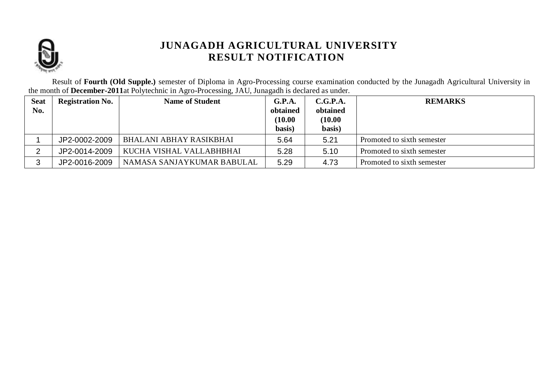

Result of **Fourth (Old Supple.)** semester of Diploma in Agro-Processing course examination conducted by the Junagadh Agricultural University in the month of **December-2011**at Polytechnic in Agro-Processing, JAU, Junagadh is declared as under.

| <b>Seat</b> | <b>Registration No.</b> | <b>Name of Student</b>         | G.P.A.              | C.G.P.A.            | <b>REMARKS</b>             |
|-------------|-------------------------|--------------------------------|---------------------|---------------------|----------------------------|
| No.         |                         |                                | obtained<br>(10.00) | obtained<br>(10.00) |                            |
|             |                         |                                | basis)              | basis)              |                            |
|             |                         |                                |                     |                     |                            |
|             | JP2-0002-2009           | <b>BHALANI ABHAY RASIKBHAI</b> | 5.64                | 5.21                | Promoted to sixth semester |
|             | JP2-0014-2009           | KUCHA VISHAL VALLABHBHAI       | 5.28                | 5.10                | Promoted to sixth semester |
| ◠<br>ື      | JP2-0016-2009           | NAMASA SANJAYKUMAR BABULAL     | 5.29                | 4.73                | Promoted to sixth semester |